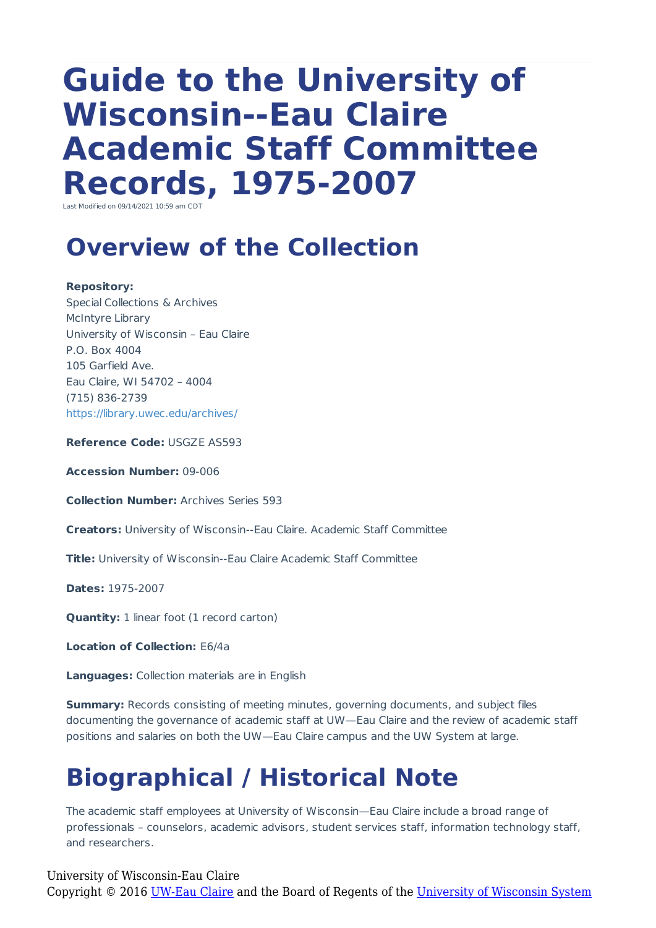# **Guide to the University of Wisconsin--Eau Claire Academic Staff Committee Records, 1975-2007**

Last Modified on 09/14/2021 10:59 am CDT

### **Overview of the Collection**

#### **Repository:**

Special Collections & Archives McIntyre Library University of Wisconsin – Eau Claire P.O. Box 4004 105 Garfield Ave. Eau Claire, WI 54702 – 4004 (715) 836-2739 https://library.uwec.edu/archives/

**Reference Code:** USGZE AS593

**Accession Number:** 09-006

**Collection Number:** Archives Series 593

**Creators:** University of Wisconsin--Eau Claire. Academic Staff Committee

**Title:** University of Wisconsin--Eau Claire Academic Staff Committee

**Dates:** 1975-2007

**Quantity:** 1 linear foot (1 record carton)

**Location of Collection:** E6/4a

**Languages:** Collection materials are in English

**Summary:** Records consisting of meeting minutes, governing documents, and subject files documenting the governance of academic staff at UW—Eau Claire and the review of academic staff positions and salaries on both the UW—Eau Claire campus and the UW System at large.

# **Biographical / Historical Note**

The academic staff employees at University of Wisconsin—Eau Claire include a broad range of professionals – counselors, academic advisors, student services staff, information technology staff, and researchers.

#### University of Wisconsin-Eau Claire

Copyright © 2016 [UW-Eau Claire](http://www.uwec.edu) and the Board of Regents of the [University of Wisconsin System](http://www.uwsa.edu/)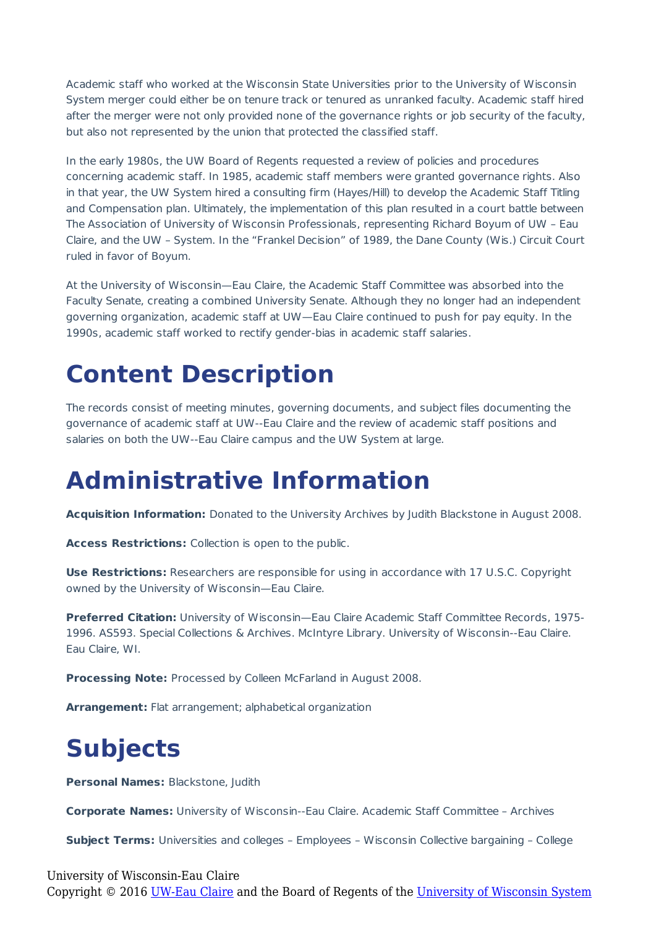Academic staff who worked at the Wisconsin State Universities prior to the University of Wisconsin System merger could either be on tenure track or tenured as unranked faculty. Academic staff hired after the merger were not only provided none of the governance rights or job security of the faculty, but also not represented by the union that protected the classified staff.

In the early 1980s, the UW Board of Regents requested a review of policies and procedures concerning academic staff. In 1985, academic staff members were granted governance rights. Also in that year, the UW System hired a consulting firm (Hayes/Hill) to develop the Academic Staff Titling and Compensation plan. Ultimately, the implementation of this plan resulted in a court battle between The Association of University of Wisconsin Professionals, representing Richard Boyum of UW – Eau Claire, and the UW – System. In the "Frankel Decision" of 1989, the Dane County (Wis.) Circuit Court ruled in favor of Boyum.

At the University of Wisconsin—Eau Claire, the Academic Staff Committee was absorbed into the Faculty Senate, creating a combined University Senate. Although they no longer had an independent governing organization, academic staff at UW—Eau Claire continued to push for pay equity. In the 1990s, academic staff worked to rectify gender-bias in academic staff salaries.

### **Content Description**

The records consist of meeting minutes, governing documents, and subject files documenting the governance of academic staff at UW--Eau Claire and the review of academic staff positions and salaries on both the UW--Eau Claire campus and the UW System at large.

### **Administrative Information**

**Acquisition Information:** Donated to the University Archives by Judith Blackstone in August 2008.

**Access Restrictions:** Collection is open to the public.

**Use Restrictions:** Researchers are responsible for using in accordance with 17 U.S.C. Copyright owned by the University of Wisconsin—Eau Claire.

**Preferred Citation:** University of Wisconsin—Eau Claire Academic Staff Committee Records, 1975- 1996. AS593. Special Collections & Archives. McIntyre Library. University of Wisconsin--Eau Claire. Eau Claire, WI.

**Processing Note:** Processed by Colleen McFarland in August 2008.

**Arrangement:** Flat arrangement; alphabetical organization

# **Subjects**

**Personal Names:** Blackstone, Judith

**Corporate Names:** University of Wisconsin--Eau Claire. Academic Staff Committee – Archives

**Subject Terms:** Universities and colleges – Employees – Wisconsin Collective bargaining – College

University of Wisconsin-Eau Claire Copyright © 2016 [UW-Eau Claire](http://www.uwec.edu) and the Board of Regents of the [University of Wisconsin System](http://www.uwsa.edu/)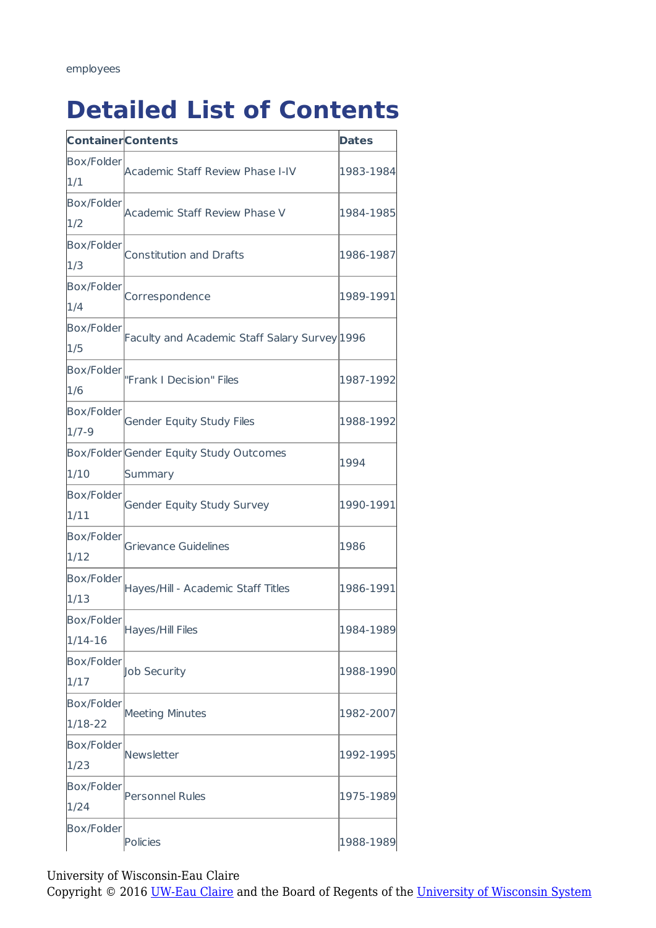# **Detailed List of Contents**

| <b>Container Contents</b> |                                               | <b>Dates</b> |
|---------------------------|-----------------------------------------------|--------------|
| <b>Box/Folder</b>         | Academic Staff Review Phase I-IV              | 1983-1984    |
| 1/1                       |                                               |              |
| Box/Folder                | <b>Academic Staff Review Phase V</b>          | 1984-1985    |
| 1/2                       |                                               |              |
| <b>Box/Folder</b>         | <b>Constitution and Drafts</b>                | 1986-1987    |
| 1/3                       |                                               |              |
| <b>Box/Folder</b>         | Correspondence                                | 1989-1991    |
| 1/4                       |                                               |              |
| <b>Box/Folder</b>         | Faculty and Academic Staff Salary Survey 1996 |              |
| 1/5                       |                                               |              |
| Box/Folder                | "Frank I Decision" Files                      | 1987-1992    |
| 1/6                       |                                               |              |
| Box/Folder                | <b>Gender Equity Study Files</b>              | 1988-1992    |
| $1/7 - 9$                 |                                               |              |
|                           | Box/Folder Gender Equity Study Outcomes       | 1994         |
| 1/10                      | Summary                                       |              |
| <b>Box/Folder</b>         | Gender Equity Study Survey                    | 1990-1991    |
| 1/11                      |                                               |              |
| <b>Box/Folder</b>         | <b>Grievance Guidelines</b>                   | 1986         |
| 1/12                      |                                               |              |
| <b>Box/Folder</b>         | Hayes/Hill - Academic Staff Titles            | 1986-1991    |
| 1/13                      |                                               |              |
| Box/Folder                | Hayes/Hill Files                              | 1984-1989    |
| $1/14-16$                 |                                               |              |
| <b>Box/Folder</b>         | Job Security                                  | 1988-1990    |
| 1/17                      |                                               |              |
| <b>Box/Folder</b>         | <b>Meeting Minutes</b>                        | 1982-2007    |
| 1/18-22                   |                                               |              |
| <b>Box/Folder</b>         | Newsletter                                    | 1992-1995    |
| 1/23                      |                                               |              |
| <b>Box/Folder</b>         | <b>Personnel Rules</b>                        | 1975-1989    |
| 1/24                      |                                               |              |
| <b>Box/Folder</b>         | Policies                                      | 1988-1989    |

University of Wisconsin-Eau Claire

Copyright © 2016 [UW-Eau Claire](http://www.uwec.edu) and the Board of Regents of the [University of Wisconsin System](http://www.uwsa.edu/)